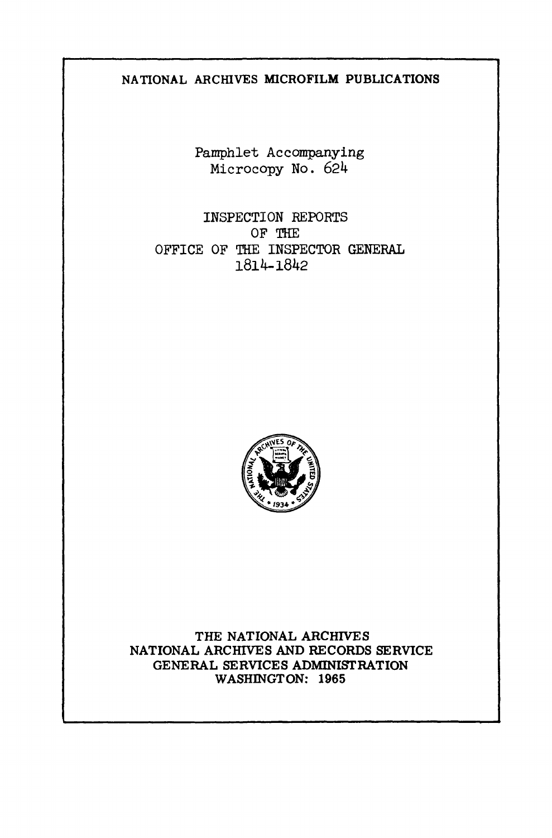## **NATIONAL ARCHIVES MICROFILM PUBLICATIONS**

Pamphlet Accompanying Microcopy No. 624

INSPECTION REPORTS OF THE OFFICE OF THE INSPECTOR GENERAL 1814-1842



**THE NATIONAL ARCHIVES NATIONAL ARCHIVES AND RECORDS SERVICE GENERAL SERVICES ADMINISTRATION WASHINGTON: 1965**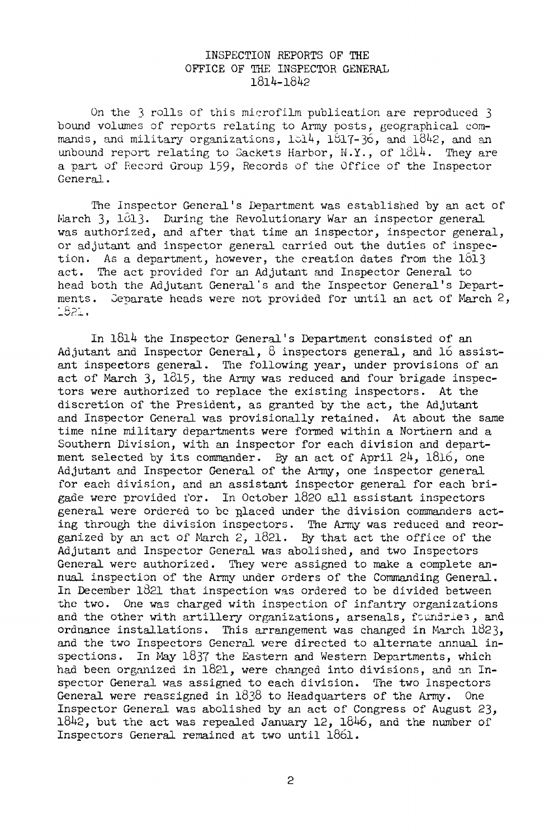## INSPECTION REPORTS OF THE OFFICE OF THE INSPECTOR GENERAL 1814-1842

On the 3 rolls of this microfilm publication are reproduced 3 bound volumes of reports relating to Army posts, geographical commands, and military organizations,  $1514$ ,  $1817-36$ , and  $1842$ , and an unbound report relating to Sackets Harbor,  $N.Y.$ , of  $1\partial 14$ . They are a part of Record Group 159, Records of the Office of the Inspector General.

The Inspector General's Department was established by an act of March 3, 1013. During the Revolutionary War an inspector general was authorized, and after that time an inspector, inspector general, or adjutant and inspector general carried out the duties of inspection. As a department, however, the creation dates from the  $1813$ act. The act provided for an Adjutant and Inspector General to head both the Adjutant General's and the Inspector General's Departments. Separate heads were not provided for until an act of March 2,<br>1821.

In 1814 the Inspector General's Department consisted of an Adjutant and Inspector General,  $8$  inspectors general, and  $16$  assistant inspectors general. The following year, under provisions of an act of March  $3, 1815$ , the Army was reduced and four brigade inspectors were authorized to replace the existing inspectors. At the discretion of the President, as granted by the act, the Adjutant and Inspector General was provisionally retained. At about the same time nine military departments were formed within a Northern and a Southern Division, with an inspector for each division and department selected by its commander. By an act of April  $24$ ,  $1816$ , one Adjutant and Inspector General of the Army, one inspector general for each division, and an assistant inspector general for each brigade were provided for. In October 1820 all assistant inspectors general were ordered to be placed under the division commanders acting through the division inspectors. The Army was reduced and reorganized by an act of March 2, 1821. By that act the office of the Adjutant and Inspector General was abolished, and two Inspectors General were authorized. They were assigned to make a complete annual inspection of the Army under orders of the Commanding General. In December 1821 that inspection was ordered to be divided between the two. One was charged with inspection of infantry organizations and the other with artillery organizations, arsenals, foundries, and ordnance installations. This arrangement was changed in March 1823, and the two Inspectors General were directed to alternate annual inspections. In May 1837 the Eastern and Western Departments, which had been organized in 1821, were changed into divisions, and an Inspector General was assigned to each division. The two Inspectors General were reassigned in 1838 to Headquarters of the Army. One Inspector General was abolished by an act of Congress of August 23,  $1842$ , but the act was repealed January 12,  $1846$ , and the number of Inspectors General remained at two until l86l.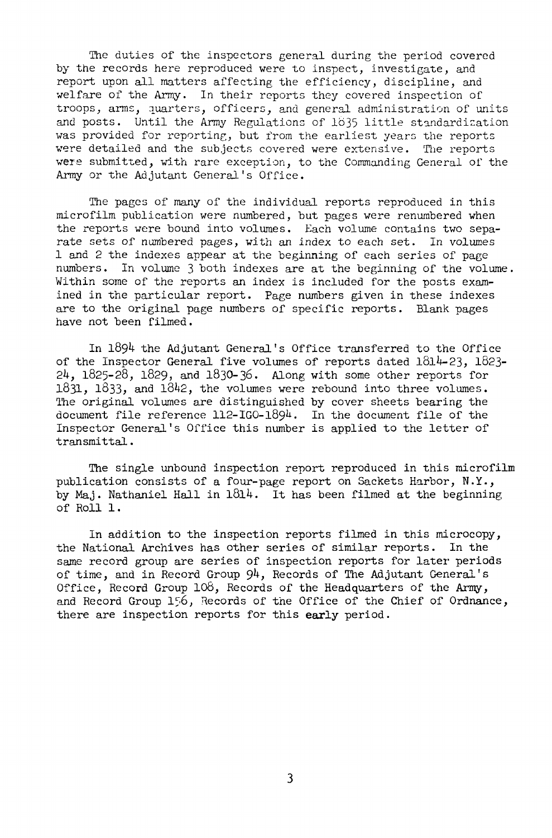The duties of the inspectors general during the period covered by the records here reproduced were to inspect, investigate, and report upon all matters affecting the efficiency, discipline, and welfare of the Army. In their reports they covered inspection of troops, arms, quarters, officers, and general administration of units and posts. Until the Army Regulations of 1635 little standardization was provided for reporting, but from the earliest years the reports were detailed and the subjects covered were extensive. The reports were submitted, with rare exception, to the Commanding General of the Army or the Adjutant General's Office.

The pages of many of the individual reports reproduced in this microfilm publication were numbered, but pages were renumbered when the reports were bound into volumes. Each volume contains two separate sets of numbered pages, with an index to each set. In volumes 1 and 2 the indexes appear at the beginning of each series of page numbers. In volume 3 both indexes are at the beginning of the volume. Within some of the reports an index is included for the posts examined in the particular report. Page numbers given in these indexes are to the original page numbers of specific reports. Blank pages have not been filmed.

In 1894 the Adjutant General's Office transferred to the Office of the Inspector General five volumes of reports dated  $1814-23$ ,  $1823-$ 24, 1825-28, 1829, and 1830-36. Along with some other reports for 1831, 1833, and 1842, the volumes were rebound into three volumes. The original volumes are distinguished by cover sheets bearing the document file reference  $112 - 160 - 1894$ . In the document file of the Inspector General's Office this number is applied to the letter of transmittal.

The single unbound inspection report reproduced in this microfilm publication consists of a four-page report on Sackets Harbor, N.Y., by Maj. Nathaniel Hall in  $1814$ . It has been filmed at the beginning of Roll 1.

In addition to the inspection reports filmed in this microcopy, the National Archives has other series of similar reports. In the same record group are series of inspection reports for later periods of time, and in Record Group  $94$ , Records of The Adjutant General's Office, Record Group 108, Records of the Headquarters of the Army, and Record Group 156, Records of the Office of the Chief of Ordnance, there are inspection reports for this early period.

 $\overline{3}$